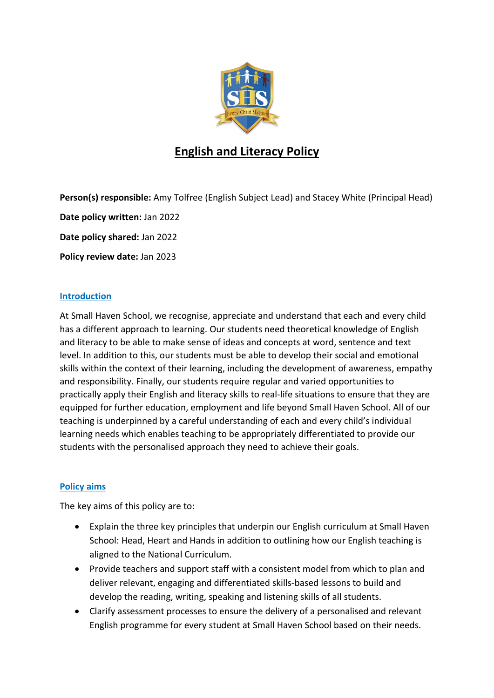

# **English and Literacy Policy**

**Person(s) responsible:** Amy Tolfree (English Subject Lead) and Stacey White (Principal Head) **Date policy written:** Jan 2022 **Date policy shared:** Jan 2022 **Policy review date:** Jan 2023

## **Introduction**

At Small Haven School, we recognise, appreciate and understand that each and every child has a different approach to learning. Our students need theoretical knowledge of English and literacy to be able to make sense of ideas and concepts at word, sentence and text level. In addition to this, our students must be able to develop their social and emotional skills within the context of their learning, including the development of awareness, empathy and responsibility. Finally, our students require regular and varied opportunities to practically apply their English and literacy skills to real-life situations to ensure that they are equipped for further education, employment and life beyond Small Haven School. All of our teaching is underpinned by a careful understanding of each and every child's individual learning needs which enables teaching to be appropriately differentiated to provide our students with the personalised approach they need to achieve their goals.

## **Policy aims**

The key aims of this policy are to:

- Explain the three key principles that underpin our English curriculum at Small Haven School: Head, Heart and Hands in addition to outlining how our English teaching is aligned to the National Curriculum.
- Provide teachers and support staff with a consistent model from which to plan and deliver relevant, engaging and differentiated skills-based lessons to build and develop the reading, writing, speaking and listening skills of all students.
- Clarify assessment processes to ensure the delivery of a personalised and relevant English programme for every student at Small Haven School based on their needs.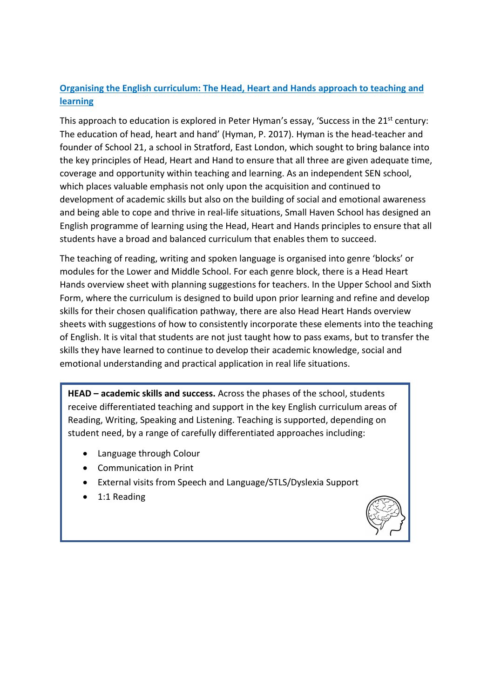# **Organising the English curriculum: The Head, Heart and Hands approach to teaching and learning**

This approach to education is explored in Peter Hyman's essay, 'Success in the 21<sup>st</sup> century: The education of head, heart and hand' (Hyman, P. 2017). Hyman is the head-teacher and founder of School 21, a school in Stratford, East London, which sought to bring balance into the key principles of Head, Heart and Hand to ensure that all three are given adequate time, coverage and opportunity within teaching and learning. As an independent SEN school, which places valuable emphasis not only upon the acquisition and continued to development of academic skills but also on the building of social and emotional awareness and being able to cope and thrive in real-life situations, Small Haven School has designed an English programme of learning using the Head, Heart and Hands principles to ensure that all students have a broad and balanced curriculum that enables them to succeed.

The teaching of reading, writing and spoken language is organised into genre 'blocks' or modules for the Lower and Middle School. For each genre block, there is a Head Heart Hands overview sheet with planning suggestions for teachers. In the Upper School and Sixth Form, where the curriculum is designed to build upon prior learning and refine and develop skills for their chosen qualification pathway, there are also Head Heart Hands overview sheets with suggestions of how to consistently incorporate these elements into the teaching of English. It is vital that students are not just taught how to pass exams, but to transfer the skills they have learned to continue to develop their academic knowledge, social and emotional understanding and practical application in real life situations.

**HEAD – academic skills and success.** Across the phases of the school, students receive differentiated teaching and support in the key English curriculum areas of Reading, Writing, Speaking and Listening. Teaching is supported, depending on student need, by a range of carefully differentiated approaches including:

- Language through Colour
- Communication in Print
- External visits from Speech and Language/STLS/Dyslexia Support
- 1:1 Reading

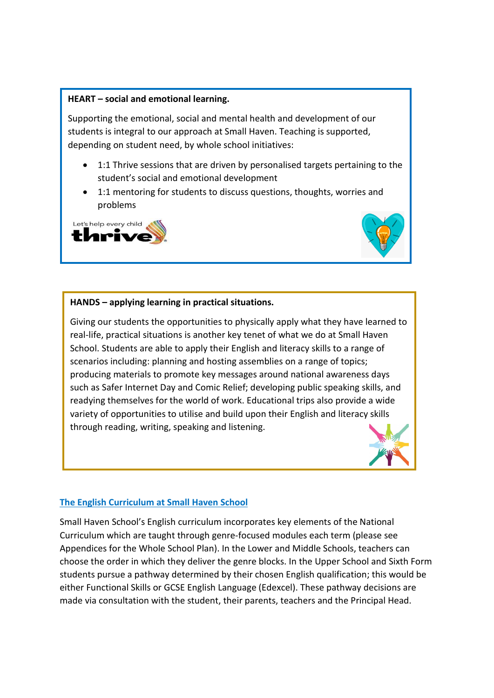#### **HEART – social and emotional learning.**

Supporting the emotional, social and mental health and development of our students is integral to our approach at Small Haven. Teaching is supported, depending on student need, by whole school initiatives:

- 1:1 Thrive sessions that are driven by personalised targets pertaining to the student's social and emotional development
- 1:1 mentoring for students to discuss questions, thoughts, worries and problems





#### **HANDS – applying learning in practical situations.**

Giving our students the opportunities to physically apply what they have learned to real-life, practical situations is another key tenet of what we do at Small Haven School. Students are able to apply their English and literacy skills to a range of scenarios including: planning and hosting assemblies on a range of topics; producing materials to promote key messages around national awareness days such as Safer Internet Day and Comic Relief; developing public speaking skills, and readying themselves for the world of work. Educational trips also provide a wide variety of opportunities to utilise and build upon their English and literacy skills through reading, writing, speaking and listening.



#### **The English Curriculum at Small Haven School**

Small Haven School's English curriculum incorporates key elements of the National Curriculum which are taught through genre-focused modules each term (please see Appendices for the Whole School Plan). In the Lower and Middle Schools, teachers can choose the order in which they deliver the genre blocks. In the Upper School and Sixth Form students pursue a pathway determined by their chosen English qualification; this would be either Functional Skills or GCSE English Language (Edexcel). These pathway decisions are made via consultation with the student, their parents, teachers and the Principal Head.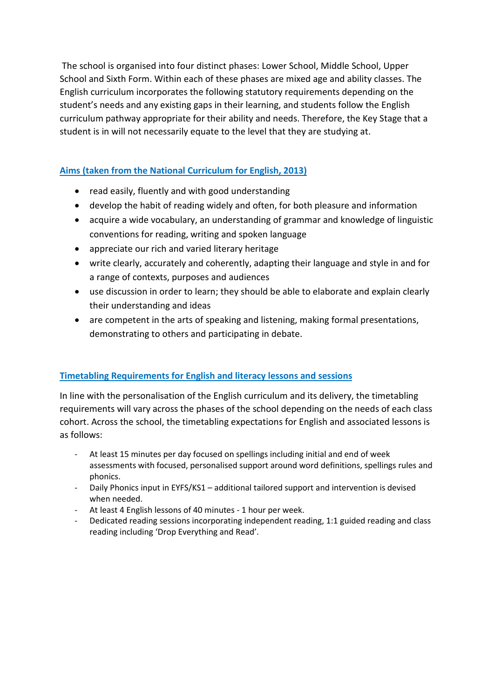The school is organised into four distinct phases: Lower School, Middle School, Upper School and Sixth Form. Within each of these phases are mixed age and ability classes. The English curriculum incorporates the following statutory requirements depending on the student's needs and any existing gaps in their learning, and students follow the English curriculum pathway appropriate for their ability and needs. Therefore, the Key Stage that a student is in will not necessarily equate to the level that they are studying at.

# **Aims (taken from the National Curriculum for English, 2013)**

- read easily, fluently and with good understanding
- develop the habit of reading widely and often, for both pleasure and information
- acquire a wide vocabulary, an understanding of grammar and knowledge of linguistic conventions for reading, writing and spoken language
- appreciate our rich and varied literary heritage
- write clearly, accurately and coherently, adapting their language and style in and for a range of contexts, purposes and audiences
- use discussion in order to learn; they should be able to elaborate and explain clearly their understanding and ideas
- are competent in the arts of speaking and listening, making formal presentations, demonstrating to others and participating in debate.

## **Timetabling Requirements for English and literacy lessons and sessions**

In line with the personalisation of the English curriculum and its delivery, the timetabling requirements will vary across the phases of the school depending on the needs of each class cohort. Across the school, the timetabling expectations for English and associated lessons is as follows:

- At least 15 minutes per day focused on spellings including initial and end of week assessments with focused, personalised support around word definitions, spellings rules and phonics.
- Daily Phonics input in EYFS/KS1 additional tailored support and intervention is devised when needed.
- At least 4 English lessons of 40 minutes 1 hour per week.
- Dedicated reading sessions incorporating independent reading, 1:1 guided reading and class reading including 'Drop Everything and Read'.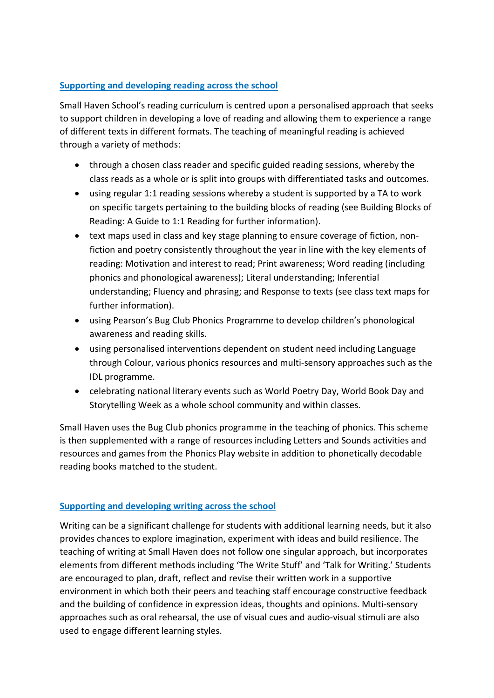# **Supporting and developing reading across the school**

Small Haven School's reading curriculum is centred upon a personalised approach that seeks to support children in developing a love of reading and allowing them to experience a range of different texts in different formats. The teaching of meaningful reading is achieved through a variety of methods:

- through a chosen class reader and specific guided reading sessions, whereby the class reads as a whole or is split into groups with differentiated tasks and outcomes.
- using regular 1:1 reading sessions whereby a student is supported by a TA to work on specific targets pertaining to the building blocks of reading (see Building Blocks of Reading: A Guide to 1:1 Reading for further information).
- text maps used in class and key stage planning to ensure coverage of fiction, nonfiction and poetry consistently throughout the year in line with the key elements of reading: Motivation and interest to read; Print awareness; Word reading (including phonics and phonological awareness); Literal understanding; Inferential understanding; Fluency and phrasing; and Response to texts (see class text maps for further information).
- using Pearson's Bug Club Phonics Programme to develop children's phonological awareness and reading skills.
- using personalised interventions dependent on student need including Language through Colour, various phonics resources and multi-sensory approaches such as the IDL programme.
- celebrating national literary events such as World Poetry Day, World Book Day and Storytelling Week as a whole school community and within classes.

Small Haven uses the Bug Club phonics programme in the teaching of phonics. This scheme is then supplemented with a range of resources including Letters and Sounds activities and resources and games from the Phonics Play website in addition to phonetically decodable reading books matched to the student.

## **Supporting and developing writing across the school**

Writing can be a significant challenge for students with additional learning needs, but it also provides chances to explore imagination, experiment with ideas and build resilience. The teaching of writing at Small Haven does not follow one singular approach, but incorporates elements from different methods including 'The Write Stuff' and 'Talk for Writing.' Students are encouraged to plan, draft, reflect and revise their written work in a supportive environment in which both their peers and teaching staff encourage constructive feedback and the building of confidence in expression ideas, thoughts and opinions. Multi-sensory approaches such as oral rehearsal, the use of visual cues and audio-visual stimuli are also used to engage different learning styles.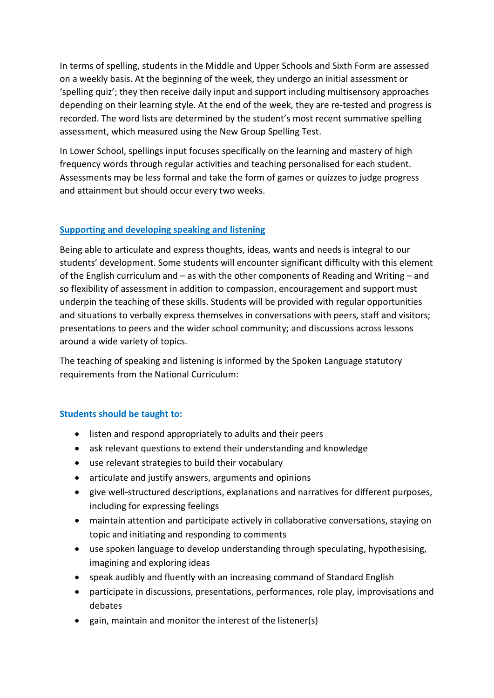In terms of spelling, students in the Middle and Upper Schools and Sixth Form are assessed on a weekly basis. At the beginning of the week, they undergo an initial assessment or 'spelling quiz'; they then receive daily input and support including multisensory approaches depending on their learning style. At the end of the week, they are re-tested and progress is recorded. The word lists are determined by the student's most recent summative spelling assessment, which measured using the New Group Spelling Test.

In Lower School, spellings input focuses specifically on the learning and mastery of high frequency words through regular activities and teaching personalised for each student. Assessments may be less formal and take the form of games or quizzes to judge progress and attainment but should occur every two weeks.

## **Supporting and developing speaking and listening**

Being able to articulate and express thoughts, ideas, wants and needs is integral to our students' development. Some students will encounter significant difficulty with this element of the English curriculum and – as with the other components of Reading and Writing – and so flexibility of assessment in addition to compassion, encouragement and support must underpin the teaching of these skills. Students will be provided with regular opportunities and situations to verbally express themselves in conversations with peers, staff and visitors; presentations to peers and the wider school community; and discussions across lessons around a wide variety of topics.

The teaching of speaking and listening is informed by the Spoken Language statutory requirements from the National Curriculum:

## **Students should be taught to:**

- listen and respond appropriately to adults and their peers
- ask relevant questions to extend their understanding and knowledge
- use relevant strategies to build their vocabulary
- articulate and justify answers, arguments and opinions
- give well-structured descriptions, explanations and narratives for different purposes, including for expressing feelings
- maintain attention and participate actively in collaborative conversations, staying on topic and initiating and responding to comments
- use spoken language to develop understanding through speculating, hypothesising, imagining and exploring ideas
- speak audibly and fluently with an increasing command of Standard English
- participate in discussions, presentations, performances, role play, improvisations and debates
- gain, maintain and monitor the interest of the listener(s)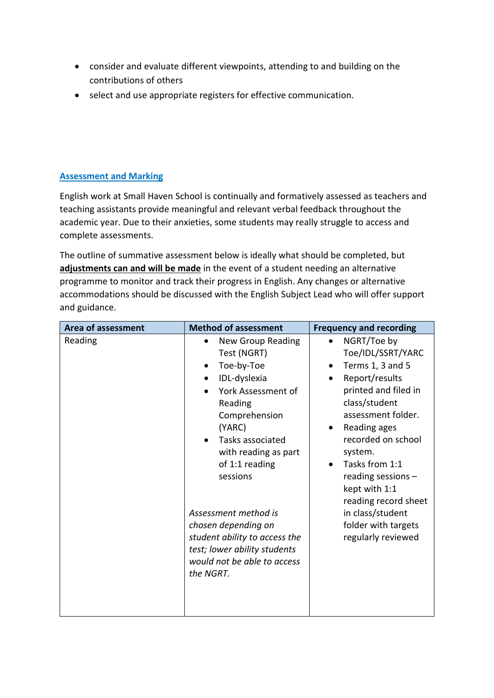- consider and evaluate different viewpoints, attending to and building on the contributions of others
- select and use appropriate registers for effective communication.

# **Assessment and Marking**

English work at Small Haven School is continually and formatively assessed as teachers and teaching assistants provide meaningful and relevant verbal feedback throughout the academic year. Due to their anxieties, some students may really struggle to access and complete assessments.

The outline of summative assessment below is ideally what should be completed, but **adjustments can and will be made** in the event of a student needing an alternative programme to monitor and track their progress in English. Any changes or alternative accommodations should be discussed with the English Subject Lead who will offer support and guidance.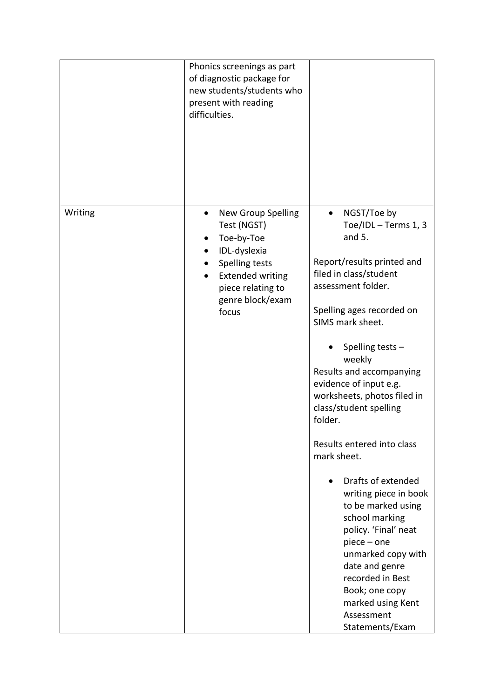|         | Phonics screenings as part<br>of diagnostic package for<br>new students/students who<br>present with reading<br>difficulties.                                                            |                                                                                                                                                                                                                                                                                                                                                                                                                                                                                                                                                                                                                                                                      |
|---------|------------------------------------------------------------------------------------------------------------------------------------------------------------------------------------------|----------------------------------------------------------------------------------------------------------------------------------------------------------------------------------------------------------------------------------------------------------------------------------------------------------------------------------------------------------------------------------------------------------------------------------------------------------------------------------------------------------------------------------------------------------------------------------------------------------------------------------------------------------------------|
| Writing | New Group Spelling<br>$\bullet$<br>Test (NGST)<br>Toe-by-Toe<br>IDL-dyslexia<br>Spelling tests<br><b>Extended writing</b><br>$\bullet$<br>piece relating to<br>genre block/exam<br>focus | NGST/Toe by<br>$\bullet$<br>Toe/IDL - Terms 1, 3<br>and $5.$<br>Report/results printed and<br>filed in class/student<br>assessment folder.<br>Spelling ages recorded on<br>SIMS mark sheet.<br>Spelling tests -<br>weekly<br>Results and accompanying<br>evidence of input e.g.<br>worksheets, photos filed in<br>class/student spelling<br>folder.<br>Results entered into class<br>mark sheet.<br>Drafts of extended<br>writing piece in book<br>to be marked using<br>school marking<br>policy. 'Final' neat<br>$piece - one$<br>unmarked copy with<br>date and genre<br>recorded in Best<br>Book; one copy<br>marked using Kent<br>Assessment<br>Statements/Exam |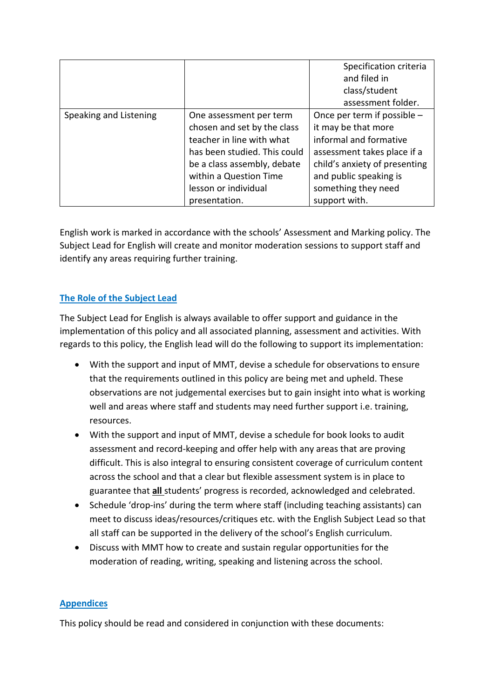|                        |                              | Specification criteria        |
|------------------------|------------------------------|-------------------------------|
|                        |                              | and filed in                  |
|                        |                              | class/student                 |
|                        |                              | assessment folder.            |
| Speaking and Listening | One assessment per term      | Once per term if possible -   |
|                        | chosen and set by the class  | it may be that more           |
|                        | teacher in line with what    | informal and formative        |
|                        | has been studied. This could | assessment takes place if a   |
|                        | be a class assembly, debate  | child's anxiety of presenting |
|                        | within a Question Time       | and public speaking is        |
|                        | lesson or individual         | something they need           |
|                        | presentation.                | support with.                 |

English work is marked in accordance with the schools' Assessment and Marking policy. The Subject Lead for English will create and monitor moderation sessions to support staff and identify any areas requiring further training.

# **The Role of the Subject Lead**

The Subject Lead for English is always available to offer support and guidance in the implementation of this policy and all associated planning, assessment and activities. With regards to this policy, the English lead will do the following to support its implementation:

- With the support and input of MMT, devise a schedule for observations to ensure that the requirements outlined in this policy are being met and upheld. These observations are not judgemental exercises but to gain insight into what is working well and areas where staff and students may need further support i.e. training, resources.
- With the support and input of MMT, devise a schedule for book looks to audit assessment and record-keeping and offer help with any areas that are proving difficult. This is also integral to ensuring consistent coverage of curriculum content across the school and that a clear but flexible assessment system is in place to guarantee that **all** students' progress is recorded, acknowledged and celebrated.
- Schedule 'drop-ins' during the term where staff (including teaching assistants) can meet to discuss ideas/resources/critiques etc. with the English Subject Lead so that all staff can be supported in the delivery of the school's English curriculum.
- Discuss with MMT how to create and sustain regular opportunities for the moderation of reading, writing, speaking and listening across the school.

## **Appendices**

This policy should be read and considered in conjunction with these documents: